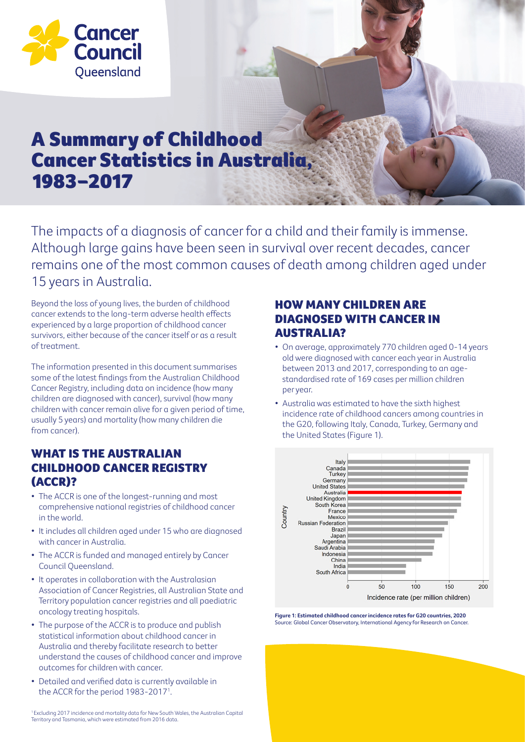

# A Summary of Childhood Cancer Statistics in Australia, 1983–2017

The impacts of a diagnosis of cancer for a child and their family is immense. Although large gains have been seen in survival over recent decades, cancer remains one of the most common causes of death among children aged under 15 years in Australia.

Beyond the loss of young lives, the burden of childhood cancer extends to the long-term adverse health effects experienced by a large proportion of childhood cancer survivors, either because of the cancer itself or as a result of treatment.

The information presented in this document summarises some of the latest findings from the Australian Childhood Cancer Registry, including data on incidence (how many children are diagnosed with cancer), survival (how many children with cancer remain alive for a given period of time, usually 5 years) and mortality (how many children die from cancer).

# WHAT IS THE AUSTRALIAN CHILDHOOD CANCER REGISTRY (ACCR)?

- The ACCR is one of the longest-running and most comprehensive national registries of childhood cancer in the world.
- It includes all children aged under 15 who are diagnosed with cancer in Australia.
- The ACCR is funded and managed entirely by Cancer Council Queensland.
- It operates in collaboration with the Australasian Association of Cancer Registries, all Australian State and Territory population cancer registries and all paediatric oncology treating hospitals.
- The purpose of the ACCR is to produce and publish statistical information about childhood cancer in Australia and thereby facilitate research to better understand the causes of childhood cancer and improve outcomes for children with cancer.
- Detailed and verified data is currently available in the ACCR for the period 1983-2017<sup>1</sup>.

HOW MANY CHILDREN ARE DIAGNOSED WITH CANCER IN AUSTRALIA?

- On average, approximately 770 children aged 0-14 years old were diagnosed with cancer each year in Australia between 2013 and 2017, corresponding to an agestandardised rate of 169 cases per million children per year.
- Australia was estimated to have the sixth highest incidence rate of childhood cancers among countries in the G20, following Italy, Canada, Turkey, Germany and the United States (Figure 1).



**Figure 1: Estimated childhood cancer incidence rates for G20 countries, 2020** Source: Global Cancer Observatory, International Agency for Research on Cancer.

<sup>1</sup>Excluding 2017 incidence and mortality data for New South Wales, the Australian Capital Territory and Tasmania, which were estimated from 2016 data.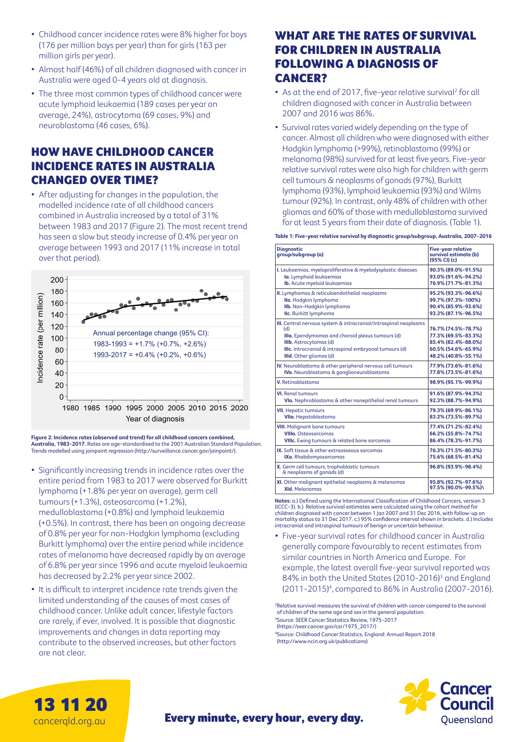- Childhood cancer incidence rates were 8% higher for boys (176 per million boys per year) than for girls (163 per million girls per year).
- Almost half (46%) of all children diagnosed with cancer in Australia were aged 0-4 years old at diagnosis.
- The three most common types of childhood cancer were acute lymphoid leukaemia (189 cases per year on average, 24%), astrocytoma (69 cases, 9%) and neuroblastoma (46 cases, 6%).

# HOW HAVE CHILDHOOD CANCER INCIDENCE RATES IN AUSTRALIA CHANGED OVER TIME?

• After adjusting for changes in the population, the modelled incidence rate of all childhood cancers combined in Australia increased by a total of 31% between 1983 and 2017 (Figure 2). The most recent trend has seen a slow but steady increase of 0.4% per year on average between 1993 and 2017 (11% increase in total over that period).



**Figure 2: Incidence rates (observed and trend) for all childhood cancers combined, Australia, 1983-2017.** Rates are age-standardised to the 2001 Australian Standard Population.<br>Trends modelled using joinpoint regression (http://surveillance.cancer.gov/joinpoint/).

- Significantly increasing trends in incidence rates over the entire period from 1983 to 2017 were observed for Burkitt lymphoma (+1.8% per year on average), germ cell tumours (+1.3%), osteosarcoma (+1.2%), medulloblastoma (+0.8%) and lymphoid leukaemia (+0.5%). In contrast, there has been an ongoing decrease of 0.8% per year for non-Hodgkin lymphoma (excluding Burkitt lymphoma) over the entire period while incidence rates of melanoma have decreased rapidly by an average of 6.8% per year since 1996 and acute myeloid leukaemia has decreased by 2.2% per year since 2002.
- It is difficult to interpret incidence rate trends given the limited understanding of the causes of most cases of childhood cancer. Unlike adult cancer, lifestyle factors are rarely, if ever, involved. It is possible that diagnostic improvements and changes in data reporting may contribute to the observed increases, but other factors are not clear.

13 11 20 cancerqld.org.au

### WHAT ARE THE RATES OF SURVIVAL FOR CHILDREN IN AUSTRALIA FOLLOWING A DIAGNOSIS OF CANCER?

- As at the end of 2017, five-year relative survival<sup>2</sup> for all children diagnosed with cancer in Australia between 2007 and 2016 was 86%.
- Survival rates varied widely depending on the type of cancer. Almost all children who were diagnosed with either Hodgkin lymphoma (>99%), retinoblastoma (99%) or melanoma (98%) survived for at least five years. Five-year relative survival rates were also high for children with germ cell tumours & neoplasms of gonads (97%), Burkitt lymphoma (93%), lymphoid leukaemia (93%) and Wilms tumour (92%). In contrast, only 48% of children with other gliomas and 60% of those with medulloblastoma survived for at least 5 years from their date of diagnosis. (Table 1).

#### **Table 1: Five-year relative survival by diagnostic group/subgroup, Australia, 2007-2016**

| <b>Diagnostic</b><br>group/subgroup (a)                                                                                                                                                                                                    | <b>Five-year relative</b><br>survival estimate (b)<br>(95% CI) (c)                                              |
|--------------------------------------------------------------------------------------------------------------------------------------------------------------------------------------------------------------------------------------------|-----------------------------------------------------------------------------------------------------------------|
| I. Leukaemias, myeloproliferative & myelodysplastic diseases                                                                                                                                                                               | 90.3% (89.0%-91.5%)                                                                                             |
| la. Lymphoid leukaemias                                                                                                                                                                                                                    | 93.0% (91.6%-94.2%)                                                                                             |
| Ib. Acute myeloid leukaemias                                                                                                                                                                                                               | 76.9% (71.7%-81.3%)                                                                                             |
| II. Lymphomas & reticuloendothelial neoplasms                                                                                                                                                                                              | 95.2% (93.3%-96.6%)                                                                                             |
| Ila. Hodgkin lymphoma                                                                                                                                                                                                                      | 99.7% (97.3%-100%)                                                                                              |
| Ilb. Non-Hodgkin lymphoma                                                                                                                                                                                                                  | 90.4% (85.9%-93.6%)                                                                                             |
| IIc. Burkitt lymphoma                                                                                                                                                                                                                      | 93.2% (87.1%-96.5%)                                                                                             |
| III. Central nervous system & intracranial/intraspinal neoplasms<br>(d)<br>Illa. Ependymomas and choroid plexus tumours (d)<br>IIIb. Astrocytomas (d)<br>IIIc. Intracranial & intraspinal embryonal tumours (d)<br>IIId. Other gliomas (d) | 76.7% (74.5%-78.7%)<br>77.3% (69.5%-83.3%)<br>85.4% (82.4%-88.0%)<br>60.5% (54.6%-65.9%)<br>48.2% (40.8%-55.1%) |
| IV. Neuroblastoma & other peripheral nervous cell tumours                                                                                                                                                                                  | 77.9% (73.6%-81.6%)                                                                                             |
| IVa. Neuroblastoma & ganglioneuroblastoma                                                                                                                                                                                                  | 77.8% (73.5%-81.6%)                                                                                             |
| V. Retinoblastoma                                                                                                                                                                                                                          | 98.9% (95.1%-99.9%)                                                                                             |
| <b>VI.</b> Renal tumours                                                                                                                                                                                                                   | 91.6% (87.9%-94.3%)                                                                                             |
| Vla. Nephroblastoma & other nonepithelial renal tumours                                                                                                                                                                                    | 92.3% (88.7%-94.9%)                                                                                             |
| <b>VII.</b> Hepatic tumours                                                                                                                                                                                                                | 79.3% (69.9%-86.1%)                                                                                             |
| VIIa. Hepatoblastoma                                                                                                                                                                                                                       | 83.2% (73.5%-89.7%)                                                                                             |
| <b>VIII.</b> Malignant bone tumours                                                                                                                                                                                                        | 77.4% (71.2%-82.4%)                                                                                             |
| <b>VIIIa. Osteosarcomas</b>                                                                                                                                                                                                                | 66.2% (55.8%-74.7%)                                                                                             |
| VIIIc. Ewing tumours & related bone sarcomas                                                                                                                                                                                               | 86.4% (78.3%-91.7%)                                                                                             |
| IX. Soft tissue & other extraosseous sarcomas                                                                                                                                                                                              | 76.3% (71.5%-80.3%)                                                                                             |
| IXa. Rhabdomyosarcomas                                                                                                                                                                                                                     | 75.6% (68.5%-81.4%)                                                                                             |
| X. Germ cell tumours, trophoblastic tumours<br>& neoplasms of gonads (d)                                                                                                                                                                   | 96.8% (93.9%-98.4%)                                                                                             |
| XI. Other malignant epithelial neoplasms & melanomas                                                                                                                                                                                       | 95.8% (92.7%-97.6%)                                                                                             |
| <b>XId.</b> Melanomas                                                                                                                                                                                                                      | 97.5% (90.0%-99.5%)\                                                                                            |

**Notes:** a.) Defined using the International Classification of Childhood Cancers, version 3 (ICCC-3). b.) Relative survival estimates were calculated using the cohort method for children diagnosed with cancer between 1 Jan 2007 and 31 Dec 2016, with follow-up on mortality status to 31 Dec 2017. c.) 95% confidence interval shown in brackets. d.) Includes intracranial and intraspinal tumours of benign or uncertain behaviour.

• Five-year survival rates for childhood cancer in Australia generally compare favourably to recent estimates from similar countries in North America and Europe. For example, the latest overall five-year survival reported was 84% in both the United States (2010-2016)<sup>3</sup> and England (2011-2015)4 , compared to 86% in Australia (2007-2016).

<sup>2</sup>Relative survival measures the survival of children with cancer compared to the survival of children of the same age and sex in the general population. 3 Source: SEER Cancer Statistics Review, 1975-2017 (https://seer.cancer.gov/csr/1975\_2017/) 4 Source: Childhood Cancer Statistics, England: Annual Report 2018 (http://www.ncin.org.uk/publications)



Every minute, every hour, every day.